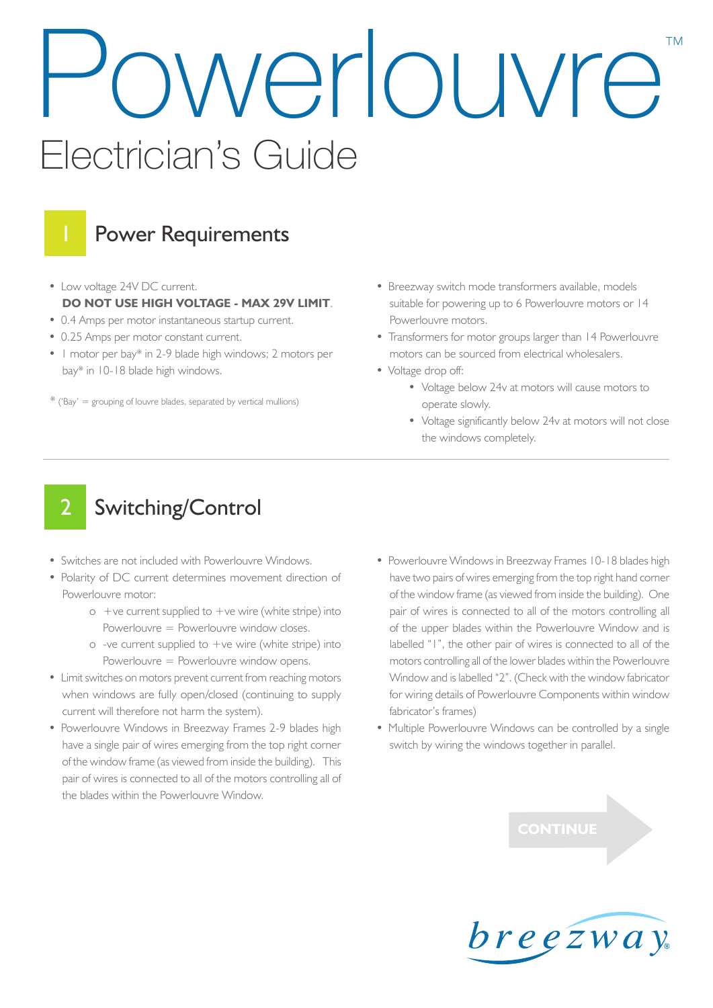# owerlouvre™ Electrician's Guide



## Power Requirements

- Low voltage 24V DC current. **DO NOT USE HIGH VOLTAGE - MAX 29V LIMIT**.
- 0.4 Amps per motor instantaneous startup current.
- 0.25 Amps per motor constant current.
- 1 motor per bay\* in 2-9 blade high windows; 2 motors per bay\* in 10-18 blade high windows.
- $*$  ('Bay' = grouping of louvre blades, separated by vertical mullions)
- Breezway switch mode transformers available, models suitable for powering up to 6 Powerlouvre motors or 14 Powerlouvre motors.
- Transformers for motor groups larger than 14 Powerlouvre motors can be sourced from electrical wholesalers.
- Voltage drop off:
	- Voltage below 24v at motors will cause motors to operate slowly.
	- Voltage significantly below 24v at motors will not close the windows completely.

## Switching/Control

- Switches are not included with Powerlouvre Windows.
- Polarity of DC current determines movement direction of Powerlouvre motor:
	- $\circ$  +ve current supplied to +ve wire (white stripe) into Powerlouvre = Powerlouvre window closes.
	- $\circ$  -ve current supplied to  $+\vee$ e wire (white stripe) into Powerlouvre = Powerlouvre window opens.
- Limit switches on motors prevent current from reaching motors when windows are fully open/closed (continuing to supply current will therefore not harm the system).
- Powerlouvre Windows in Breezway Frames 2-9 blades high have a single pair of wires emerging from the top right corner of the window frame (as viewed from inside the building). This pair of wires is connected to all of the motors controlling all of the blades within the Powerlouvre Window.
- Powerlouvre Windows in Breezway Frames 10-18 blades high have two pairs of wires emerging from the top right hand corner of the window frame (as viewed from inside the building). One pair of wires is connected to all of the motors controlling all of the upper blades within the Powerlouvre Window and is labelled "1", the other pair of wires is connected to all of the motors controlling all of the lower blades within the Powerlouvre Window and is labelled "2". (Check with the window fabricator for wiring details of Powerlouvre Components within window fabricator's frames)
- Multiple Powerlouvre Windows can be controlled by a single switch by wiring the windows together in parallel.



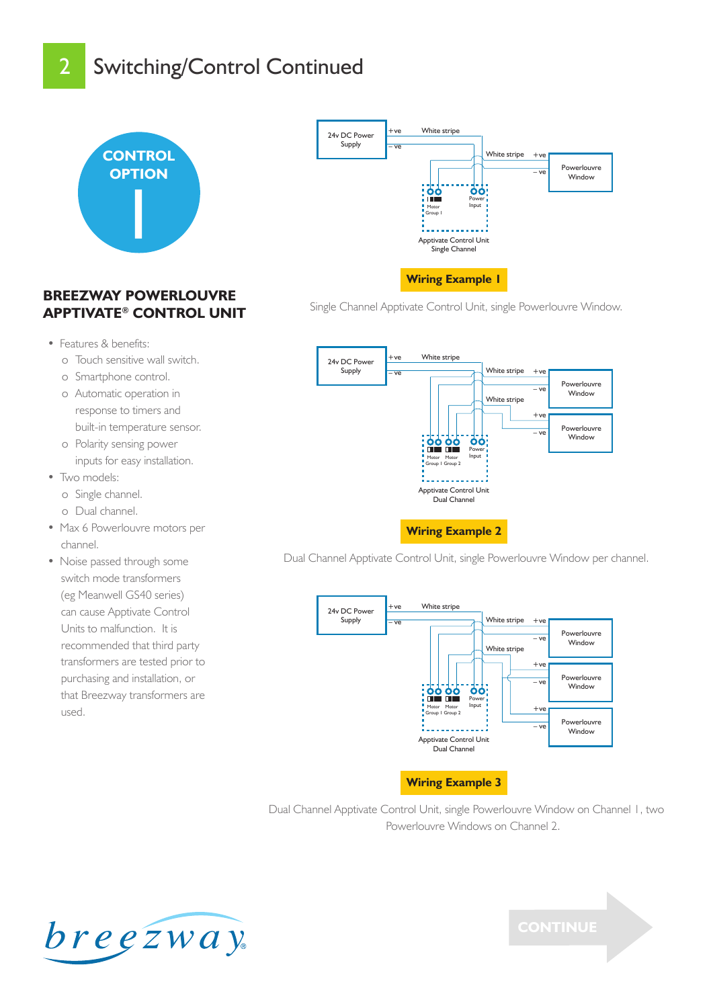## Switching/Control Continued



#### **BREEZWAY POWERLOUVRE APPTIVATE® CONTROL UNIT**

- Features & benefits:
	- o Touch sensitive wall switch.
	- o Smartphone control.
	- o Automatic operation in response to timers and built-in temperature sensor.
	- o Polarity sensing power inputs for easy installation.
- Two models:
	- o Single channel.
	- o Dual channel.
- Max 6 Powerlouvre motors per channel.
- Noise passed through some switch mode transformers (eg Meanwell GS40 series) can cause Apptivate Control Units to malfunction. It is recommended that third party transformers are tested prior to purchasing and installation, or that Breezway transformers are used.



Single Channel Apptivate Control Unit, single Powerlouvre Window.



Dual Channel Apptivate Control Unit, single Powerlouvre Window per channel.



Dual Channel Apptivate Control Unit, single Powerlouvre Window on Channel 1, two Powerlouvre Windows on Channel 2.



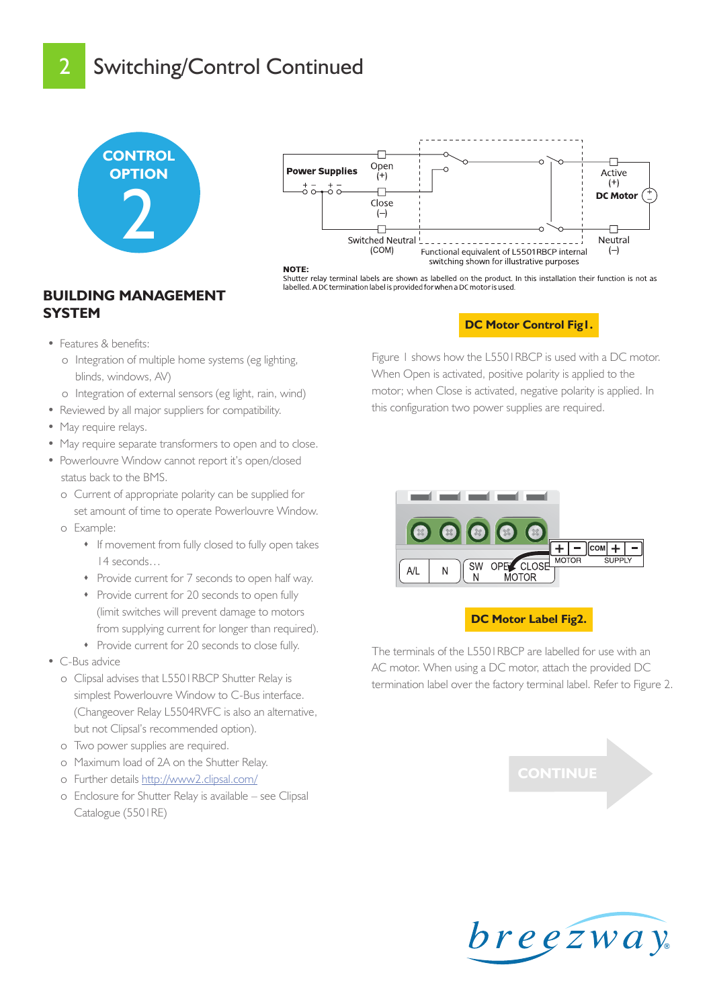## Switching/Control Continued





Shutter relay terminal labels are shown as labelled on the product. In this installation their function is not as labelled. A DC termination label is provided for when a DC motor is used.

#### **BUILDING MANAGEMENT SYSTEM**

- Features & benefits:
	- o Integration of multiple home systems (eg lighting, blinds, windows, AV)
	- o Integration of external sensors (eg light, rain, wind)
- Reviewed by all major suppliers for compatibility.
- May require relays.
- May require separate transformers to open and to close.
- Powerlouvre Window cannot report it's open/closed status back to the BMS.
	- o Current of appropriate polarity can be supplied for set amount of time to operate Powerlouvre Window. o Example:
		- If movement from fully closed to fully open takes 14 seconds…
		- Provide current for 7 seconds to open half way.
		- Provide current for 20 seconds to open fully (limit switches will prevent damage to motors from supplying current for longer than required).
		- Provide current for 20 seconds to close fully.
- C-Bus advice
	- o Clipsal advises that L5501RBCP Shutter Relay is simplest Powerlouvre Window to C-Bus interface. (Changeover Relay L5504RVFC is also an alternative, but not Clipsal's recommended option).
	- o Two power supplies are required.
	- o Maximum load of 2A on the Shutter Relay.
	- o Further details [http://www2.clipsal.com/](http://www2.clipsal.com/cis/__data/page/428/L5501RBCP_C-BusShutterRelay-Installation2.pdf )
	- o Enclosure for Shutter Relay is available see Clipsal Catalogue (5501RE)

#### **DC Motor Control Fig1.**

Figure 1 shows how the L5501RBCP is used with a DC motor. When Open is activated, positive polarity is applied to the motor; when Close is activated, negative polarity is applied. In this configuration two power supplies are required.



#### **DC Motor Label Fig2.**

The terminals of the L5501RBCP are labelled for use with an AC motor. When using a DC motor, attach the provided DC termination label over the factory terminal label. Refer to Figure 2.